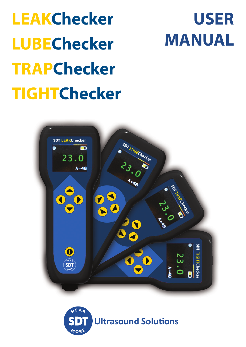| <b>LEAKChecker</b>  |
|---------------------|
| <b>LUBEChecker</b>  |
| <b>TRAPChecker</b>  |
| <b>TIGHTChecker</b> |

# **LEAKChecker USER MANUAL**



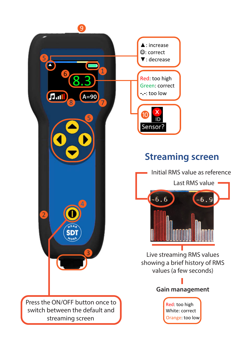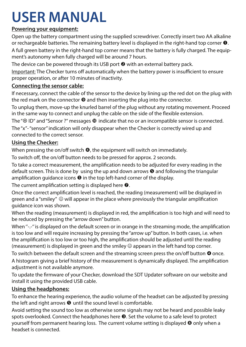# **USER MANUAL**

### **Powering your equipment:**

Open up the battery compartment using the supplied screwdriver. Correctly insert two AA alkaline or rechargeable batteries. The remaining battery level is displayed in the right-hand top corner  $\mathbf{0}$ .

A full green battery in the right-hand top corner means that the battery is fully charged. The equipment's autonomy when fully charged will be around 7 hours.

The device can be powered through its USB port  $\Theta$  with an external battery pack.

Important: The Checker turns off automatically when the battery power is insufficient to ensure proper operation, or after 10 minutes of inactivity.

### **Connecting the sensor cable:**

If necessary, connect the cable of the sensor to the device by lining up the red dot on the plug with the red mark on the connector  $\Theta$  and then inserting the plug into the connector.

To unplug them, move-up the knurled barrel of the plug without any rotating movement. Proceed in the same way to connect and unplug the cable on the side of the flexible extension.

The " $\otimes$  ID" and "Sensor ?" messages  $\otimes$  indicate that no or an incompatible sensor is connected.

The "x"- "sensor" indication will only disappear when the Checker is correctly wired up and connected to the correct sensor.

### **Using the Checker:**

When pressing the on/off switch  $\Theta$ , the equipment will switch on immediately.

To switch off, the on/off button needs to be pressed for approx. 2 seconds.

To take a correct measurement, the amplification needs to be adjusted for every reading in the default screen. This is done by using the up and down arrows  $\Theta$  and following the triangular amplification quidance icons  $\Theta$  in the top left-hand corner of the display.

The current amplification setting is displayed here  $\odot$ .

Once the correct amplification level is reached, the reading (measurement) will be displayed in green and a "smiley"  $\odot$  will appear in the place where previously the triangular amplification guidance icon was shown.

When the reading (measurement) is displayed in red, the amplification is too high and will need to be reduced by pressing the "arrow down" button.

When "-.-" is displayed on the default screen or in orange in the streaming mode, the amplification is too low and will require increasing by pressing the "arrow up" button. In both cases, i.e. when the amplification is too low or too high, the amplification should be adjusted until the reading (measurement) is displayed in green and the smiley  $\odot$  appears in the left hand top corner.

To switch between the default screen and the streaming screen press the on/off button  $\bullet$  once. A histogram giving a brief history of the measurement is dynamically displayed. The amplification adjustment is not available anymore.

To update the firmware of your Checker, download the SDT Updater software on our website and install it using the provided USB cable.

### **Using the headphones:**

To enhance the hearing experience, the audio volume of the headset can be adjusted by pressing the left and right arrows  $\bullet$  until the sound level is comfortable.

Avoid setting the sound too low as otherwise some signals may not be heard and possible leaky spots overlooked. Connect the headphones here  $\bullet$ . Set the volume to a safe level to protect yourself from permanent hearing loss. The current volume setting is displayed  $\Theta$  only when a headset is connected.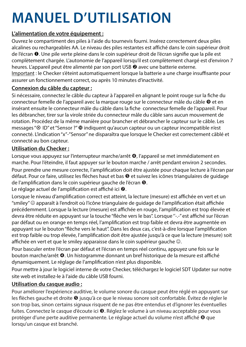# **MANUEL D'UTILISATION**

### **L'alimentation de votre équipement :**

Ouvrez le compartiment des piles à l'aide du tournevis fourni. Insérez correctement deux piles alcalines ou rechargeables AA. Le niveau des piles restantes est affiché dans le coin supérieur droit de l'écran  $\bullet$ . Une pile verte pleine dans le coin supérieur droit de l'écran signifie que la pile est complètement chargée. L'autonomie de l'appareil lorsqu'il est complètement chargé est d'environ 7 heures. L'appareil peut être alimenté par son port USB @ avec une batterie externe. Important : le Checker s'éteint automatiquement lorsque la batterie a une charge insuffisante pour assurer un fonctionnement correct, ou après 10 minutes d'inactivité.

### **Connexion du câble du capteur :**

Si nécessaire, connectez le câble du capteur à l'appareil en alignant le point rouge sur la fiche du connecteur femelle de l'appareil avec la marque rouge sur le connecteur mâle du câble  $\bullet$  et en insérant ensuite le connecteur mâle du câble dans la fiche connecteur femelle de l'appareil. Pour les débrancher, tirer sur la virole striée du connecteur mâle du câble sans aucun mouvement de rotation. Procédez de la même manière pour brancher et débrancher le capteur sur le câble. Les messages " $\otimes$  ID" et "Sensor ?"  $\Phi$  indiquent qu'aucun capteur ou un capteur incompatible n'est connecté. L'indication "x"-"Sensor" ne disparaîtra que lorsque le Checker est correctement câblé et connecté au bon capteur.

### **Utilisation du Checker :**

Lorsque vous appuyez sur l'interrupteur marche/arrêt (, l'appareil se met immédiatement en marche. Pour l'éteindre, il faut appuyer sur le bouton marche / arrêt pendant environ 2 secondes. Pour prendre une mesure correcte, l'amplification doit être ajustée pour chaque lecture à l'écran par défaut. Pour ce faire, utilisez les flèches haut et bas  $\Theta$  et suivez les icônes triangulaires de guidage de l'amplification dans le coin supérieur gauche de l'écran  $\bullet$ .

Le réglage actuel de l'amplification est affiché ici  $\odot$ .

Lorsque le niveau d'amplification correct est atteint, la lecture (mesure) est affichée en vert et un "smiley"  $\circledcirc$  apparaît à l'endroit où l'icône triangulaire de guidage de l'amplification était affichée précédemment. Lorsque la lecture (mesure) est affichée en rouge, l'amplification est trop élevée et devra être réduite en appuyant sur la touche "flèche vers le bas". Lorsque ''-.-'' est affiché sur l'écran par défaut ou en orange en temps réel, l'amplification est trop faible et devra être augmentée en appuyant sur le bouton "flèche vers le haut". Dans les deux cas, c'est-à-dire lorsque l'amplification est trop faible ou trop élevée, l'amplification doit être ajustée jusqu'à ce que la lecture (mesure) soit affichée en vert et que le smiley apparaisse dans le coin supérieur gauche  $\odot$ .

Pour basculer entre l'écran par défaut et l'écran en temps réel continu, appuyez une fois sur le bouton marche/arrêt **.** Un histogramme donnant un bref historique de la mesure est affiché dynamiquement. Le réglage de l'amplification n'est plus disponible.

Pour mettre à jour le logiciel interne de votre Checker, téléchargez le logiciel SDT Updater sur notre site web et installez-le à l'aide du câble USB fourni.

### **Utilisation du casque audio :**

Pour améliorer l'expérience auditive, le volume sonore du casque peut être réglé en appuyant sur les flèches gauche et droite  $\bullet$  jusqu'à ce que le niveau sonore soit confortable. Évitez de régler le son trop bas, sinon certains signaux risquent de ne pas être entendus et d'ignorer les éventuelles fuites. Connectez le casque d'écoute ici  $\bullet$ . Réglez le volume à un niveau acceptable pour vous protéger d'une perte auditive permanente. Le réglage actuel du volume n'est affiché <sup>o</sup> que lorsqu'un casque est branché.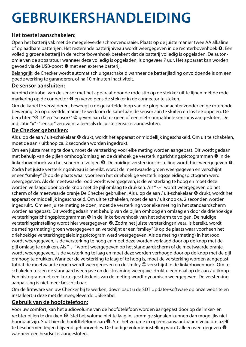# **GEBRUIKERSHANDLEIDING**

### **Het toestel aanschakelen:**

Open het batterij vak met de meegeleverde schroevendraaier. Plaats op de juiste manier twee AA alkaline of oplaadbare batterijen. Het resterende batterijniveau wordt weergegeven in de rechterbovenhoek . Een volledig groene batterij in de rechterbovenhoek betekent dat de batterij volledig is opgeladen. De autonomie van de apparatuur wanneer deze volledig is opgeladen, is ongeveer 7 uur. Het apparaat kan worden gevoed via de USB-poort @ met een externe batterij.

Belangrijk: de Checker wordt automatisch uitgeschakeld wanneer de batterijlading onvoldoende is om een goede werking te garanderen, of na 10 minuten inactiviteit.

### **De sensor aansluiten:**

Verbind de kabel van de sensor met het apparaat door de rode stip op de stekker uit te lijnen met de rode markering op de connector **O** en vervolgens de stekker in de connector te steken.

Om de kabel te verwijderen, beweegt u de gekartelde loop van de plug naar achter zonder enige roterende beweging. Ga op dezelfde manier te werk om de kabel aan de sensor aan te sluiten en los te koppelen. De berichten "<sup>®</sup> ID" en "Sensor?"  $\Phi$  geven aan dat er geen of een niet-compatibele sensor is aangesloten. De indicatie "x" - "sensor" verdwijnt alleen als de juiste sensor is aangesloten.

#### **De Checker gebruiken:**

Als u op de aan / uit-schakelaar @ drukt, wordt het apparaat onmiddellijk ingeschakeld. Om uit te schakelen, moet de aan / uitknop ca. 2 seconden worden ingedrukt.

Om een juiste meting te doen, moet de versterking voor elke meting worden aangepast. Dit wordt gedaan met behulp van de pijlen omhoog/omlaag en de driehoekige versterkingsrichtingspictogrammen  $\bullet$  in de linkerbovenhoek van het scherm te volgen  $\Theta$ . De huidige versterkingsinstelling wordt hier weergegeven  $\Theta$ . Zodra het juiste versterkingsniveau is bereikt, wordt de meetwaarde groen weergegeven en verschijnt er een "smiley" © op de plaats waar voorheen het driehoekige versterkingsgeleidingspictogram werd weergegeven. Als de meetwaarde rood wordt weergegeven, is de versterking te hoog en moet deze worden verlaagd door op de knop met de pijl omlaag te drukken. Als "--- " wordt weergegeven op het scherm of de meetwaarde oranje De Checker gebruiken: Als u op de aan / uit-schakelaar @ drukt, wordt het apparaat onmiddellijk ingeschakeld. Om uit te schakelen, moet de aan / uitknop ca. 2 seconden worden ingedrukt. Om een juiste meting te doen, moet de versterking voor elke meting in het standaardscherm worden aangepast. Dit wordt gedaan met behulp van de pijlen omhoog en omlaag en door de driehoekige versterkingsrichtingspictogrammen  $\bullet$  in de linkerbovenhoek van het scherm te volgen. De huidige versterkingsinstelling wordt hier weergegeven @. Zodra het juiste versterkingsniveau is bereikt, wordt de meting (meting) groen weergegeven en verschijnt er een "smiley" © op de plaats waar voorheen het driehoekige versterkingsgeleidingspictogram werd weergegeven. Als de meting (meting) in het rood wordt weergegeven, is de versterking te hoog en moet deze worden verlaagd door op de knop met de pijl omlaag te drukken. Als "-.- " wordt weergegeven op het standaardscherm of de meetwaarde oranje wordt weergegeven,, is de versterking te laag en moet deze worden verhoogd door op de knop met de pijl omhoog te drukken. Wanneer de versterking te laag of te hoog is, moet de versterking worden aangepast totdat de meetwaarde groen wordt weergegeven en de smiley  $\odot$  verschijnt in de linkerbovenhoek. Om te schakelen tussen de standaard weergave en de streaming weergave, drukt u eenmaal op de aan / uitknop. Een histogram met een korte geschiedenis van de meting wordt dynamisch weergegeven. De versterking aanpassing is niet meer beschikbaar.

Om de firmware van uw Checker bij te werken, downloadt u de SDT Updater-software op onze website en installeert u deze met de meegeleverde USB-kabel.

### **Gebruik van de hoofdtelefoon:**

Voor uw comfort, kan het audiovolume van de hoofdtelefoon worden aangepast door op de linker- en rechter pijlen te drukken <sup>6</sup>. Stel het volume niet te laag in, sommige signalen kunnen dan mogelijks niet hoorbaar zijn. Sluit hier de hoofdtelefoon aan  $\bullet$ . Stel het volume in op een aanvaardbaar niveau om uzelf te beschermen tegen blijvend gehoorverlies. De huidige volume-instelling wordt alleen weergegeven <sup>®</sup> wanneer een headset is aangesloten.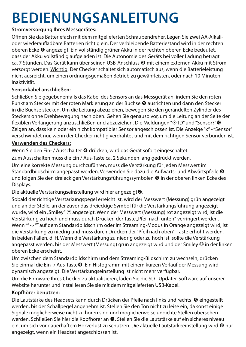# **BEDIENUNGSANLEITUNG**

### **Stromversorgung Ihres Messgerätes:**

Öffnen Sie das Batteriefach mit dem mitgelieferten Schraubendreher. Legen Sie zwei AA-Alkalioder wiederaufladbare Batterien richtig ein. Der verbleibende Batteriestand wird in der rechten oberen Ecke <sup>O</sup> angezeigt. Ein vollständig grüner Akku in der rechten oberen Ecke bedeutet, dass der Akku vollständig aufgeladen ist. Die Autonomie des Geräts bei voller Ladung beträgt  $ca.$  7 Stunden. Das Gerät kann über seinen USB-Anschluss  $\bullet$  mit einem externen Akku mit Strom versorgt werden. Wichtig: Der Checker schaltet sich automatisch aus, wenn die Batterieleistung nicht ausreicht, um einen ordnungsgemäßen Betrieb zu gewährleisten, oder nach 10 Minuten Inaktivität.

### **Sensorkabel anschließen:**

Schließen Sie gegebenenfalls das Kabel des Sensors an das Messgerät an, indem Sie den roten Punkt am Stecker mit der roten Markierung an der Buchse <sup>o</sup> ausrichten und dann den Stecker in die Buchse stecken. Um die Leitung abzuziehen, bewegen Sie den gerändelten Zylinder des Steckers ohne Drehbewegung nach oben. Gehen Sie genauso vor, um die Leitung an der Seite der flexiblen Verlängerung anzuschließen und abzuziehen. Die Meldungen "<sup>®</sup> ID" und "Sensor?"<sup>®</sup> Zeigen an, dass kein oder ein nicht kompatibler Sensor angeschlossen ist. Die Anzeige "x" - "Sensor" verschwindet nur, wenn der Checker richtig verdrahtet und mit dem richtigen Sensor verbunden ist.

### **Verwenden des Checkers:**

Wenn Sie den Ein- / Ausschalter @ drücken, wird das Gerät sofort eingeschaltet.

Zum Ausschalten muss die Ein / Aus-Taste ca. 2 Sekunden lang gedrückt werden.

Um eine korrekte Messung durchzuführen, muss die Verstärkung für jeden Messwert im Standardbildschirm angepasst werden. Verwenden Sie dazu die Aufwärts- und Abwärtspfeile <sup>9</sup> und folgen Sie den dreieckigen Verstärkungsführungssymbolen <sup>@</sup> in der oberen linken Ecke des Displays.

Die aktuelle Verstärkungseinstellung wird hier angezeigt.

Sobald der richtige Verstärkungspegel erreicht ist, wird der Messwert (Messung) grün angezeigt und an der Stelle, an der zuvor das dreieckige Symbol für die Verstärkungsführung angezeigt wurde, wird ein "Smiley" © angezeigt. Wenn der Messwert (Messung) rot angezeigt wird, ist die Verstärkung zu hoch und muss durch Drücken der Taste "Pfeil nach unten" verringert werden. Wenn "" -.- "" auf dem Standardbildschirm oder im Streaming-Modus in Orange angezeigt wird, ist die Verstärkung zu niedrig und muss durch Drücken der "Pfeil nach oben" -Taste erhöht werden. In beiden Fällen, d. H. Wenn die Verstärkung zu niedrig oder zu hoch ist, sollte die Verstärkung angepasst werden, bis der Messwert (Messung) grün angezeigt wird und der Smiley © in der linken oberen Ecke erscheint.

Um zwischen dem Standardbildschirm und dem Streaming-Bildschirm zu wechseln, drücken Sie einmal die Ein- / Aus-Taste . Ein Histogramm mit einem kurzen Verlauf der Messung wird dynamisch angezeigt. Die Verstärkungseinstellung ist nicht mehr verfügbar.

Um die Firmware Ihres Checker zu aktualisieren, laden Sie die SDT Updater-Software auf unserer Website herunter und installieren Sie sie mit dem mitgelieferten USB-Kabel.

### **Kopfhörer benutzen:**

Die Lautstärke des Headsets kann durch Drücken der Pfeile nach links und rechts <sup>@</sup> eingestellt werden, bis der Schallpegel angenehm ist. Stellen Sie den Ton nicht zu leise ein, da sonst einige Signale möglicherweise nicht zu hören sind und möglicherweise undichte Stellen übersehen werden. Schließen Sie hier die Kopfhörer an  $\bullet$ . Stellen Sie die Lautstärke auf ein sicheres niveau ein, um sich vor dauerhaftem Hörverlust zu schützen. Die aktuelle Lautstärkeeinstellung wird <sup>3</sup> nur angezeigt, wenn ein Headset angeschlossen ist.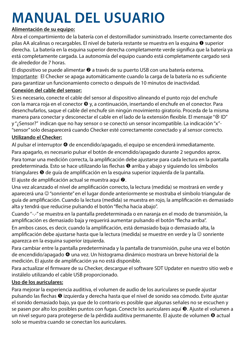### **MANUAL DEL USUARIO**

### **Alimentación de su equipo:**

Abra el compartimiento de la batería con el destornillador suministrado. Inserte correctamente dos pilas AA alcalinas o recargables. El nivel de batería restante se muestra en la esquina  $\bullet$  superior derecha. La batería en la esquina superior derecha completamente verde significa que la batería ya está completamente cargada. La autonomía del equipo cuando está completamente cargado será de alrededor de 7 horas.

El dispositivo se puede alimentar  $\bullet$  a través de su puerto USB con una batería externa. Importante: El Checker se apaga automáticamente cuando la carga de la batería no es suficiente para garantizar un funcionamiento correcto o después de 10 minutos de inactividad.

### **Conexión del cable del sensor:**

Si es necesario, conecte el cable del sensor al dispositivo alineando el punto rojo del enchufe con la marca roja en el conector  $\bullet$  y, a continuación, insertando el enchufe en el conector. Para desenchufarlos, saque el cable del enchufe sin ningún movimiento giratorio. Proceda de la misma manera para conectar y desconectar el cable en el lado de la extensión flexible. El mensaje "<sup>8</sup> ID" y "¿Sensor?" indican que no hay sensor o se conectó un sensor incompatible. La indicación "x"- "sensor" solo desaparecerá cuando Checker esté correctamente conectado y al sensor correcto.

### **Utilizando el Checker:**

Al pulsar el interruptor <sup>o</sup> de encendido/apagado, el equipo se encenderá inmediatamente. Para apagarlo, es necesario pulsar el botón de encendido/apagado durante 2 segundos aprox. Para tomar una medición correcta, la amplificación debe ajustarse para cada lectura en la pantalla predeterminada. Esto se hace utilizando las flechas <sup>o</sup> arriba y abajo y siguiendo los símbolos triangulares <sup>o</sup> de guía de amplificación en la esquina superior izquierda de la pantalla.

El ajuste de amplificación actual se muestra aquí  $\odot$ .

Una vez alcanzado el nivel de amplificación correcto, la lectura (medida) se mostrará en verde y aparecerá una @ "sonriente" en el lugar donde anteriormente se mostraba el símbolo triangular de guía de amplificación. Cuando la lectura (medida) se muestra en rojo, la amplificación es demasiado alta y tendrá que reducirse pulsando el botón "flecha hacia abajo".

Cuando ''-.-'' se muestra en la pantalla predeterminada o en naranja en el modo de transmisión, la amplificación es demasiado baja y requerirá aumentar pulsando el botón "flecha arriba".

En ambos casos, es decir, cuando la amplificación, está demasiado baja o demasiado alta, la amplificación debe ajustarse hasta que la lectura (medida) se muestre en verde y la © sonriente aparezca en la esquina superior izquierda.

Para cambiar entre la pantalla predeterminada y la pantalla de transmisión, pulse una vez el botón de encendido/apagado una vez. Un histograma dinámico mostrara un breve historial de la medición. El ajuste de amplificación ya no está disponible.

Para actualizar el firmware de su Checker, descargue el software SDT Updater en nuestro sitio web e instálelo utilizando el cable USB proporcionado.

### **Uso de los auriculares:**

Para mejorar la experiencia auditiva, el volumen de audio de los auriculares se puede ajustar pulsando las flechas  $\Theta$  izquierda y derecha hasta que el nivel de sonido sea cómodo. Evite ajustar el sonido demasiado bajo, ya que de lo contrario es posible que algunas señales no se escuchen y se pasen por alto los posibles puntos con fugas. Conecte los auriculares aquí <sup>6</sup>. Ajuste el volumen a un nivel seguro para protegerse de la pérdida auditiva permanente. El ajuste de volumen <sup>@</sup> actual solo se muestra cuando se conectan los auriculares.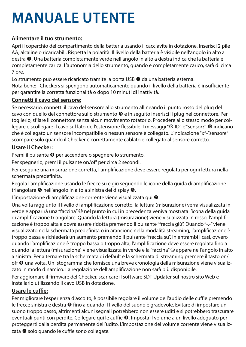# **MANUALE UTENTE**

### **Alimentare il tuo strumento:**

Apri il coperchio del compartimento della batteria usando il cacciavite in dotazione. Inserisci 2 pile AA, alcaline o ricaricabili. Rispetta la polarità. Il livello della batteria è visibile nell'angolo in alto a destra  $\bullet$ . Una batteria completamente verde nell'angolo in alto a destra indica che la batteria è completamente carica. L'autonomia dello strumento, quando è completamente carico, sarà di circa 7 ore.

Lo strumento può essere ricaricato tramite la porta USB <sup>o</sup> da una batteria esterna. Nota bene: I Checkers si spengono automaticamente quando il livello della batteria è insufficiente per garantire la corretta funzionalità o dopo 10 minuti di inattività.

### **Connetti il cavo del sensore:**

Se necessario, connetti il cavo del sensore allo strumento allineando il punto rosso del plug del cavo con quello del connettore sullo strumento  $\bullet$  e in seguito inserisci il plug nel connettore. Per toglierlo, sfilare il connettore senza alcun movimento rotatorio. Procedere allo stesso modo per collegare e scollegare il cavo sul lato dell'estensione flessibile. I messaggi "<sup>®</sup> ID" e "Sensor?" <sup>®</sup> indicano che è collegato un sensore incompatibile o nessun sensore è collegato. L'indicazione "x"-"sensore" scompare solo quando il Checker è correttamente cablato e collegato al sensore corretto.

### **Usare il Checker:**

Premi il pulsante <sup>o</sup> per accendere o spegnere lo strumento.

Per spegnerlo, premi il pulsante on/off per circa 2 secondi.

Per eseguire una misurazione corretta, l'amplificazione deve essere regolata per ogni lettura nella schermata predefinita.

Regola l'amplificazione usando le frecce su e giù seguendo le icone della guida di amplificazione triangolare  $\Theta$  nell'angolo in alto a sinistra del display  $\Theta$ .

L'impostazione di amplificazione corrente viene visualizzata qui  $\bullet$ .

Una volta raggiunto il livello di amplificazione corretto, la lettura (misurazione) verrà visualizzata in verde e apparirà una "faccina"  $\circledcirc$  nel punto in cui in precedenza veniva mostrata l'icona della guida di amplificazione triangolare. Quando la lettura (misurazione) viene visualizzata in rosso, l'amplificazione è troppo alta e dovrà essere ridotta premendo il pulsante "freccia giù". Quando "-.-" viene visualizzato nella schermata predefinita o in arancione nella modalità streaming, l'amplificazione è troppo bassa e richiederà un aumento premendo il pulsante "freccia su". In entrambi i casi, ovvero quando l'amplificazione è troppo bassa o troppo alta, l'amplificazione deve essere regolata fino a quando la lettura (misurazione) viene visualizzata in verde e la "faccina"  $\odot$  appare nell'angolo in alto a sinistra. Per alternare tra la schermata di default e la schermata di streaming premere il tasto on/ off <sup>o</sup> una volta. Un istogramma che fornisce una breve cronologia della misurazione viene visualizzato in modo dinamico. La regolazione dell'amplificazione non sarà più disponibile. Per aggiornare il firmware del Checker, scaricare il software SDT Updater sul nostro sito Web e installarlo utilizzando il cavo USB in dotazione.

### **Usare le cuffie:**

Per migliorare l'esperienza d'ascolto, è possibile regolare il volume dell'audio delle cuffie premendo le frecce sinistra e destra  $\Theta$  fino a quando il livello del suono è gradevole. Evitare di impostare un suono troppo basso, altrimenti alcuni segnali potrebbero non essere uditi e si potrebbero trascurare eventuali punti con perdite. Collegare qui le cuffie <sup>®</sup>. Imposta il volume a un livello adeguato per proteggerti dalla perdita permanente dell'udito. L'impostazione del volume corrente viene visualizzata <sup>o</sup> solo quando le cuffie sono collegate.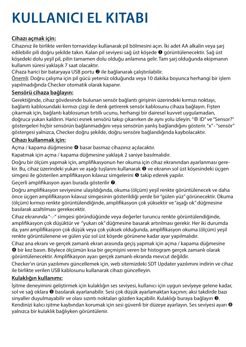# **KULLANICI EL KITABI**

### **Cihazı açmak için:**

Cihazınız ile birlikte verilen tornavidayı kullanarak pil bölmesini açın. İki adet AA alkalin veya şarj edilebilir pili doğru şekilde takın. Kalan pil seviyesi sağ üst köşede @ görüntülenecektir. Sağ üst köşedeki dolu yeşil pil, pilin tamamen dolu olduğu anlamına gelir. Tam şarj olduğunda ekipmanın kullanım süresi yaklaşık 7 saat olacaktır.

Cihaza harici bir bataryaya USB portu @ ile bağlanarak çalıştırılabilir.

Önemli: Doğru çalışma için pil gücü yetersiz olduğunda veya 10 dakika boyunca herhangi bir işlem yapılmadığında Checker otomatik olarak kapanır.

### **Sensörü cihaza bağlayın:**

Gerektiğinde, cihaz gövdesinde bulunan sensör bağlantı girişinin üzerindeki kırmızı noktayı, bağlantı kablosundaki kırmızı çizgi ile denk getirerek sensör kablosunu cihaza bağlayın. Fişten çıkarmak için, bağlantı kablosunun tırtıllı ucunu, herhangi bir dairesel kuvvet uygulamadan, doğruca yukarı kaldırın. Harici esnek sensörü takıp çıkarırken de aynı yolu izleyin. " ® ID" ve "Sensor?" göstergeleri hiçbir sensörün bağlanmadığını veya sensörün yanlış bağlandığını gösterir. "x" - "sensör" göstergesi yalnızca, Checker doğru şekilde, doğru sensöre bağlandığında kaybolacaktır.

### **Cihazı kullanmak için:**

Açma / kapama düğmesine @ basar basmaz cihazınız açılacaktır.

Kapatmak için açma / kapama düğmesine yaklaşık 2 saniye basılmalıdır.

Doğru bir ölçüm yapmak için, amplifikasyonun her okuma için cihaz ekranından ayarlanması gerekir. Bu, cihaz üzerindeki yukarı ve aşağı tuşlarını kullanarak  $\bullet$  ve ekranın sol üst köşesindeki üçgen simgesi ile gösterilen amplifikasyon kılavuz simgelerini  $\Theta$  takip ederek yapılır.

Geçerli amplifikasyon ayarı burada gösterilir ..

Doğru amplifikasyon seviyesine ulaşıldığında, okuma (ölçüm) yeşil renkte görüntülenecek ve daha önce üçgen amplifikasyon kılavuz simgesinin gösterildiği yerde bir "gülen yüz" görünecektir. Okuma (ölçüm) kırmızı renkte görüntülendiğinde, amplifikasyon çok yüksektir ve "aşağı ok" düğmesine basılarak azaltılması gerekecektir.

Cihaz ekranında "-.-" simgesi göründüğünde veya değerler turuncu renkte görüntülendiğinde, amplifikasyon çok düşüktür ve "yukarı ok" düğmesine basarak artırılması gerekir. Her iki durumda da, yani amplifikasyon çok düşük veya çok yüksek olduğunda, amplifikasyon okuma (ölçüm) yeşil renkte görüntülenene ve gülen yüz sol üst köşede görünene kadar ayar yapılmalıdır.

Cihaz ana ekranı ve gerçek zamanlı ekran arasında geçiş yapmak için açma / kapama düğmesine bir kez basın. Böylece ölçümün kısa bir geçmişini veren bir histogram gerçek zamanlı olarak görüntülenecektir. Amplifikasyon ayarı gerçek zamanlı ekranda mevcut değildir.

Checker'ın ürün yazılımını güncellemek için, web sitemizdeki SDT Updater yazılımını indirin ve cihaz ile birlikte verilen USB kablosunu kullanarak cihazı güncelleyin.

### **Kulaklığın kullanımı:**

İşitme deneyimini geliştirmek için kulaklığın ses seviyesi, kullanıcı için uygun seviyeye gelene kadar, sol ve sağ oklara  $\Theta$  basılarak ayarlanabilir. Sesi çok düşük ayarlamaktan kaçının; aksi takdirde bazı sinyaller duyulmayabilir ve olası sızıntı noktaları gözden kaçabilir. Kulaklığı buraya bağlayın 0. Kendinizi kalıcı işitme kaybından korumak için sesi güvenli bir düzeye ayarlayın. Ses seviyesi ayarı @ yalnızca bir kulaklık bağlıyken görüntülenir.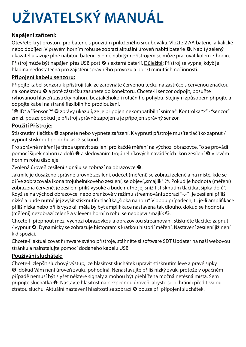# **UŽIVATELSKÝ MANUÁL**

### **Napájení zařízení:**

Otevřete kryt prostoru pro baterie s použitím přiloženého šroubováku. Vložte 2 AA baterie, alkalické nebo dobíjecí. V pravém horním rohu se zobrazí aktuální úroveň nabití baterie <sup>0</sup>. Nabitý zelený ukazatel ukazuje plně nabitou baterii. S plně nabitým přístrojem se může pracovat kolem 7 hodin. Přístroj může být napájen přes USB port @ s externí baterií. Důležité: Přístroj se vypne, když je hladina nedostatečná pro zajištění správného provozu a po 10 minutách nečinnosti.

### **Připojení kabelu senzoru:**

Připojte kabel senzoru k přístroji tak, že zarovnáte červenou tečku na zástrčce s červenou značkou na konektoru @ a poté zástrčku zasunete do konektoru. Chcete-li senzor odpojit, posuňte rýhovanou hlaveň zástrčky nahoru bez jakéhokoli rotačního pohybu. Stejným způsobem připojte a odpojte kabel na straně flexibilního prodloužení.

" $\otimes$  ID" a "Sensor ?"  $\Phi$  zprávy ukazují, že je připojen nekompatibilní snímač. Kontrolka "x" - "senzor" zmizí, pouze pokud je přístroj správně zapojen a je připojen správný senzor.

### **Použití Přístroje:**

Stisknutím tlačítka @ zapnete nebo vypnete zařízení. K vypnutí přístroje musíte tlačítko zapnut / vypnut stisknout po dobu asi 2 sekund.

Pro správné měření je třeba upravit zesílení pro každé měření na výchozí obrazovce. To se provádí pomocí šipek nahoru a dolů  $\Theta$  a sledováním trojúhelníkových naváděcích ikon zesílení  $\Theta$  v levém horním rohu displeje.

Zvolená úroveň zesílení signálu se zobrazí na obrazovce  $\bullet$ .

Jakmile je dosaženo správné úrovně zesílení, odečet (měření) se zobrazí zeleně a na místě, kde se dříve zobrazovala ikona trojúhelníkového zesílení, se objeví "smajlík" @. Pokud je hodnota (měření) zobrazena červeně, je zesílení příliš vysoké a bude nutné jej snížit stisknutím tlačítka "šipka dolů". Když se na výchozí obrazovce, nebo oranžově v režimu streamování zobrazí ''-.-'' , je zesílení příliš nízké a bude nutné jej zvýšit stisknutím tlačítka "šipka nahoru". V obou případech, tj. je-li amplifikace příliš nízká nebo příliš vysoká, měla by být amplifikace nastavena tak dlouho, dokud se hodnota (měření) nezobrazí zeleně a v levém horním rohu se neobjeví smajlík  $\odot$ .

Chcete-li přepnout mezi výchozí obrazovkou a obrazovkou streamování, stiskněte tlačítko zapnut / vypnut @. Dynamicky se zobrazuje histogram s krátkou historií měření. Nastavení zesílení již není k dispozici.

Chcete-li aktualizovat firmware svého přístroje, stáhněte si software SDT Updater na naši webovou stránku a nainstalujte pomocí dodaného kabelu USB.

### **Používání sluchátek:**

Chcete-li zlepšit sluchový výstup, lze hlasitost sluchátek upravit stisknutím levé a pravé šipky , dokud Vám není úroveň zvuku pohodlná. Nenastavujte příliš nízký zvuk, protože v opačném případě nemusí být slyšet některé signály a mohou být přehlížena možná netěsná místa. Sem připojte sluchátka <sup>®</sup>. Nastavte hlasitost na bezpečnou úroveň, abyste se ochránili před trvalou ztrátou sluchu. Aktuální nastavení hlasitosti se zobrazí @ pouze při připojení sluchátek.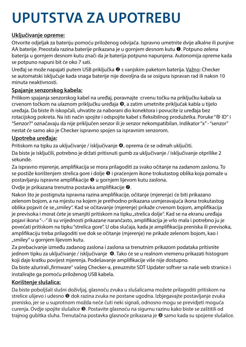# **UPUTSTVA ZA UPOTREBU**

### **Uključivanje opreme:**

Otvorite odjeljak za bateriju pomoću priloženog odvijača. Ispravno umetnite dvije alkalne ili punjive AA baterije. Preostala razina baterije prikazana je u gornjem desnom kutu <sup>O</sup>. Potpuno zelena baterija u gornjem desnom kutu znači da je baterija potpuno napunjena. Autonomija opreme kada se potpuno napuni bit će oko 7 sati.

Uređaj se može napajati putem USB priključka @ s vanjskim paketom baterija. Važno: Checker se automatski isključuje kada snaga baterije nije dovoljna da se osigura ispravan rad ili nakon 10 minuta neaktivnosti.

### **Spajanje senzorskog kabela:**

Prilikom spajanja senzorskog kabel na uređaj, poravnajte crvenu točku na priključku kabala sa crvenom točkom na ulaznom priključku uređaja  $\bullet$ , a zatim umetnite priključak kabla u tijelo uređaja. Da biste ih iskopčali, uhvatite za naborani dio konektora i povucite iz uređaja bez rotacijskog pokreta. Na isti način spojite i odspojite kabel s fleksibilnog produžetka. Poruke " $\otimes$  ID" i "Senzor?" označavaju da nije priključen senzor ili je senzor nekompatibilan. Indikator "x" - "senzor" nestat će samo ako je Checker ispravno spojen sa ispravnim senzorom.

### **Upotreba uređaja:**

Pritiskom na tipku za uključivanje / isključivanje @, oprema će se odmah uključiti.

Da biste je isključili, potrebno je držati pritisnuti gumb za uključivanje / isključivanje otprilike 2 sekunde.

Za ispravno mjerenje, amplifikacija se mora prilagoditi za svako očitanje na zadanom zaslonu. To se postiže korištenjem strelica gore i dolje  $\bullet$  i praćenjem ikone trokutastog oblika koja pomaže u postavljanju ispravne amplifikacije <sup>o</sup> u gornjem lijevom kutu zaslona.

Ovdje je prikazana trenutna postavka amplifikacije 0.

Nakon što je postignuta ispravna razina amplifikacije, očitanje (mjerenje) će biti prikazano zelenom bojom, a na mjestu na kojem je prethodno prikazana usmjeravajuća ikona trokutastog oblika pojavit će se "smiley". Kad se očitavanje (mjerenje) prikaže crvenom bojom, amplifikacija je previsoka i morat ćete je smanjiti pritiskom na tipku "strelica dolje". Kad se na ekranu uređaja pojavi ikona "-.-" ili su vrijednosti prikazane narančasto, amplifikacija je vrlo mala i potrebno ju je povećati pritiskom na tipku "strelica gore". U oba slučaja, kada je amplifikacija preniska ili previsoka, amplifikaciju treba prilagoditi sve dok se očitanje (mjerenje) ne prikaže zelenom bojom, kao i "smiley" u gornjem lijevom kutu.

Za prebacivanje između zadanog zaslona i zaslona sa trenutnim prikazom podataka pritisnite jednom tipku za uključivanje / isključivanje 0. Tako će se u realnom vremenu prikazati histogram koji daje kratku povijest mjerenja. Podešavanje amplifikacije više nije dostupno.

Da biste ažurirali "firmware" vašeg Checker-a, preuzmite SDT Updater softver sa naše web stranice i instalirajte ga pomoću priloženog USB kabela.

### **Korištenje slušalica:**

Da biste poboljšali slušni doživljaj, glasnoću zvuka u slušalicama možete prilagoditi pritiskom na strelice ulijevo i udesno  $\Theta$  dok razina zvuka ne postane ugodna. Izbjegavajte postavljanje zvuka prenisko, jer se u suprotnom možda neće čuti neki signali, odnosno mogu se previdjeti moguća curenja. Ovdje spojite slušalice <sup>●</sup>. Postavite glasnoću na sigurnu razinu kako biste se zaštitili od trajnog gubitka sluha. Trenutačna postavka glasnoće prikazana je @ samo kada su spojene slušalice.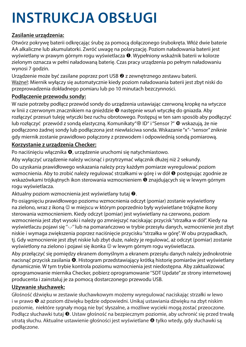# **INSTRUKCJA OBSŁUGI**

### **Zasilanie urządzenia:**

Otwórz pokrywę baterii odkręcając śrubę za pomocą dołączonego śrubokręta. Włóż dwie baterie AA alkaliczne lub akumulatorki. Zwróć uwagę na polaryzację. Poziom naładowania baterii jest wyświetlany w prawym górnym rogu wyświetlacza  $\bullet$ . Wypełniony wskaźnik baterii w kolorze zielonym oznacza w pełni naładowaną baterię. Czas pracy urządzenia po pełnym naładowaniu wynosi 7 godzin.

Urządzenie może być zasilane poprzez port USB @ z zewnętrznego zestawu baterii. Ważne!: Miernik wyłączy się automatycznie kiedy poziom naładowania baterii jest zbyt niski do przeprowadzenia dokładnego pomiaru lub po 10 minutach bezczynności.

### **Podłączenie przewodu sondy:**

W razie potrzeby podłącz przewód sondy do urządzenia ustawiając czerwoną kropkę na wtyczce w linii z czerwonym znacznikiem na gnieździe <sup>o następnie wsuń wtyczkę do gniazda. Aby</sup> rozłączyć przesuń tuleję wtyczki bez ruchu obrotowego. Postępuj w ten sam sposób aby podłączyć lub rozłączyć przewód z sondą elastyczną. Komunikaty"<sup>®</sup> ID" i "Sensor ?" <sup>®</sup> wskazują, że nie podłączono żadnej sondy lub podłączona jest niewłaściwa sonda. Wskazanie "x"- "sensor" zniknie gdy miernik zostanie prawidłowo połączony z przewodem i odpowiednią sondą pomiarową.

### **Korzystanie z urządzenia Checker:**

Po naciśnięciu włącznika <sup>0</sup>, urządzenie uruchomi się natychmiastowo.

Aby wyłączyć urządzenie należy wcisnąć i przytrzymać włącznik dłużej niż 2 sekundy.

Do uzyskania prawidłowego wskazania należy przy każdym pomiarze wyregulować poziom wzmocnienia. Aby to zrobić należy regulować strzałkami w górę i w dół  $\bullet$  postępując zgodnie ze wskazówkami trójkątnych ikon sterowania wzmocnieniem <sup>o</sup> znajdujących się w lewym górnym rogu wyświetlacza.

Aktualny poziom wzmocnienia jest wyświetlany tutaj <sup>.</sup>

Po osiągnięciu prawidłowego poziomu wzmocnienia odczyt (pomiar) zostanie wyświetlony na zielono, wraz z ikona  $\textcircled{y}$  w miejscu w którym poprzednio były wyświetlane trójkątne ikony sterowania wzmocnieniem. Kiedy odczyt (pomiar) jest wyświetlany na czerwono, poziom wzmocnienia jest zbyt wysoki i należy go zmniejszyć naciskając przycisk "strzałka w dół". Kiedy na wyświetlaczu pojawi się "-.-" lub na pomarańczowo w trybie przesyłu danych, wzmocnienie jest zbyt niskie i wymaga zwiększenia poprzez naciśnięcie przycisku "strzałka w górę". W obu przypadkach, tj. Gdy wzmocnienie jest zbyt niskie lub zbyt duże, należy je regulować, aż odczyt (pomiar) zostanie wyświetlony na zielono i pojawi się ikonka  $\odot$  w lewym górnym rogu wyświetlacza.

Aby przełączyć się pomiędzy ekranem domyślnym a ekranem przesyłu danych należy jednokrotnie nacisnąć przycisk zasilania @. Histogram przedstawiający krótką historię pomiarów jest wyświetlany dynamicznie. W tym trybie kontrola poziomu wzmocnienia jest niedostępna. Aby zaktualizować oprogramowanie miernika Checker, pobierz oprogramowanie ''SDT Update'' ze strony internetowej producenta i zainstaluj je za pomocą dostarczonego przewodu USB.

### **Używanie słuchawek:**

Głośność dźwięku w zestawie słuchawkowym możemy wyregulować naciskając strzałki w lewo i w prawo  $\bullet$  aż poziom dźwięku będzie odpowiedni. Unikaj ustawiania dźwięku na zbyt niskim poziomie, niektóre sygnały mogą nie być słyszalne, a możliwe wycieki mogą zostać przeoczone. Podłącz słuchawki tutaj <sup>6</sup>. Ustaw głośność na bezpiecznym poziomie, aby uchronić się przed trwałą utratą słuchu. Aktualne ustawienie głośności jest wyświetlane @ tylko wtedy, gdy słuchawki są podłączone.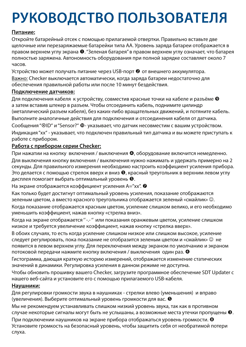# **РУКОВОДСТВО ПОЛЬЗОВАТЕЛЯ**

### **Питание:**

Откройте батарейный отсек с помощью прилагаемой отвертки. Правильно вставьте две щелочные или перезаряжаемые батарейки типа AA. Уровень заряда батареи отображается в правом верхнем углу экрана  $\mathbf{0}$  "Зеленая батарея" в правом верхнем углу означает, что батарея полностью заряжена. Автономность оборудования при полной зарядке составляет около 7 часов.

Устройство может получать питание через USB-порт <sup>•</sup> от внешнего аккумулятора.

Важно: Checker выключается автоматически, когда заряда батареи недостаточно для обеспечения правильной работы или после 10 минут бездействия.

#### **Подключение датчиков:**

Для подключения кабеля к устройству, совместив красные точки на кабеле и разъёме <sup>®</sup> а затем вставив штекер в разъем. Чтобы отсоединить кабель, поднимите цилиндр (металлический разъем кабеля), без каких-либо вращательных движений, и потяните кабель. Выполните аналогичные действия для подключения и отсоединения кабеля от датчика. Сообщения "@ID" и "Sensor?" Ф- указывает, что датчик несовместим с вашим устройством. Индикация "хх" - указывает, что подключен правильный тип датчика и вы можете приступать к работе с прибором.

### **Работа с прибором серии Checker:**

При нажатии на кнопку включения / выключения  $\bullet$ , оборудование включится немедленно.

Для выключения кнопку включения / выключения нужно нажимать и удержать примерно на 2 секунды. Для правильного измерения необходимо настроить коэффициент усиления прибора. Это делается с помощью стрелок вверх и вниз  $\bullet$ , красный треугольник в верхним левом углу дисплея помогает выбрать оптимальный уровень  $\bullet$ .

На экране отображается коэффициент усиления A="xx". <sup>•</sup>

Как только будет достигнут оптимальный уровень усиления, показание отображаются зеленым цветом, а вместо красного треугольника отображается зеленый «смайлик»  $\odot$ . Когда показание отображается красным цветом, усиление слишком велико, и его необходимо уменьшить коэффициент, нажав кнопку «стрелка вниз».

Когда на экране отображается '' -.- '' или показания оранжевым цветом, усиление слишком низкое и требуется увеличение коэффициент, нажав кнопку «стрелка вверх».

В обоих случаях, то есть когда усиление слишком низкое или слишком высокое, усиление следует регулировать, пока показание не отобразится зеленым цветом и «смайлик» $\heartsuit$  не появится в левом верхнем углу. Для переключения между экраном по умолчанию и экраном потоковой передачи нажмите кнопку включения / выключения один раз.

Гистограмма, дающая краткую историю измерений, отображается изменение статических значений в динамики. Регулировка усиления в данном режиме не доступна.

Чтобы обновить прошивку вашего Checker, загрузите программное обеспечение SDT Updater с нашего веб-сайта и установите его с помощью прилагаемого USB-кабеля.

### **Наушники:**

Для регулировки громкости звука в наушниках - стрелки влево (уменьшения) и вправо (увеличения). Выберите оптимальный уровень громкости для вас.

Мы не рекомендуем устанавливать слишком низкий уровень звука, так как в противном случае некоторые сигналы могут быть не услышаны, а возможные места утечки пропущены .

При подключении наушников на экране прибора отображаться уровень громкости. Установите громкость на безопасный уровень, чтобы защитить себя от необратимой потери слуха.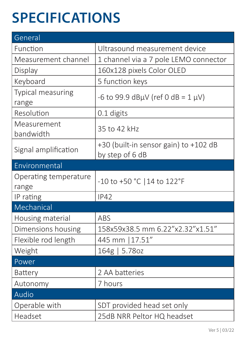# **SPECIFICATIONS**

| General                        |                                                          |  |
|--------------------------------|----------------------------------------------------------|--|
| Function                       | Ultrasound measurement device                            |  |
| Measurement channel            | 1 channel via a 7 pole LEMO connector                    |  |
| Display                        | 160x128 pixels Color OLED                                |  |
| Keyboard                       | 5 function keys                                          |  |
| Typical measuring<br>range     | -6 to 99.9 dBµV (ref 0 dB = $1 \mu V$ )                  |  |
| Resolution                     | 0.1 digits                                               |  |
| Measurement<br>bandwidth       | 35 to 42 kHz                                             |  |
| Signal amplification           | +30 (built-in sensor gain) to +102 dB<br>by step of 6 dB |  |
| Environmental                  |                                                          |  |
| Operating temperature<br>range | -10 to +50 °C   14 to 122°F                              |  |
| IP rating                      | <b>IP42</b>                                              |  |
| Mechanical                     |                                                          |  |
| Housing material               | ABS                                                      |  |
| Dimensions housing             | 158x59x38.5 mm 6.22"x2.32"x1.51"                         |  |
| Flexible rod length            | 445 mm   17.51"                                          |  |
| Weight                         | 164g   5.78oz                                            |  |
| Power                          |                                                          |  |
| Battery                        | 2 AA batteries                                           |  |
| Autonomy                       | 7 hours                                                  |  |
| Audio                          |                                                          |  |
| Operable with                  | SDT provided head set only                               |  |
| Headset                        | 25dB NRR Peltor HQ headset                               |  |